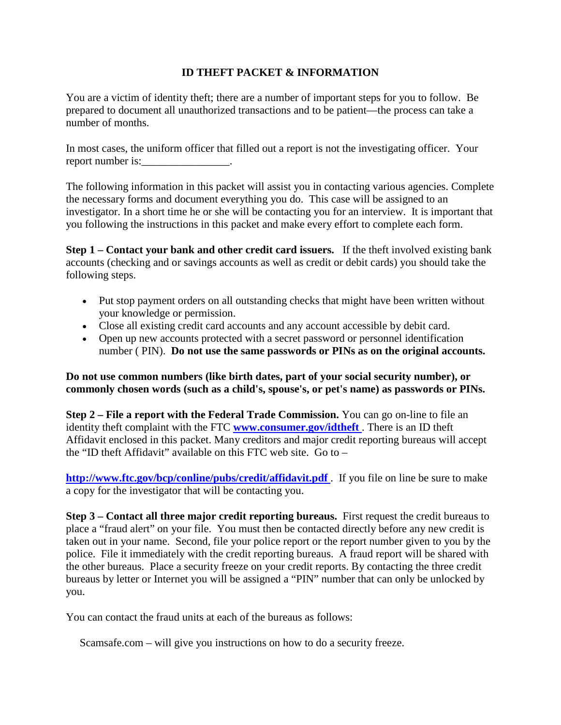## **ID THEFT PACKET & INFORMATION**

You are a victim of identity theft; there are a number of important steps for you to follow. Be prepared to document all unauthorized transactions and to be patient—the process can take a number of months.

In most cases, the uniform officer that filled out a report is not the investigating officer. Your report number is:

The following information in this packet will assist you in contacting various agencies. Complete the necessary forms and document everything you do. This case will be assigned to an investigator. In a short time he or she will be contacting you for an interview. It is important that you following the instructions in this packet and make every effort to complete each form.

**Step 1 – Contact your bank and other credit card issuers.** If the theft involved existing bank accounts (checking and or savings accounts as well as credit or debit cards) you should take the following steps.

- Put stop payment orders on all outstanding checks that might have been written without your knowledge or permission.
- Close all existing credit card accounts and any account accessible by debit card.
- Open up new accounts protected with a secret password or personnel identification number ( PIN). **Do not use the same passwords or PINs as on the original accounts.**

**Do not use common numbers (like birth dates, part of your social security number), or commonly chosen words (such as a child's, spouse's, or pet's name) as passwords or PINs.** 

**Step 2 – File a report with the Federal Trade Commission.** You can go on-line to file an identity theft complaint with the FTC **[www.consumer.gov/idtheft](http://www.consumer.gov/idtheft)** . There is an ID theft Affidavit enclosed in this packet. Many creditors and major credit reporting bureaus will accept the "ID theft Affidavit" available on this FTC web site. Go to  $-$ 

**<http://www.ftc.gov/bcp/conline/pubs/credit/affidavit.pdf>**. If you file on line be sure to make a copy for the investigator that will be contacting you.

**Step 3 – Contact all three major credit reporting bureaus.** First request the credit bureaus to place a "fraud alert" on your file. You must then be contacted directly before any new credit is taken out in your name. Second, file your police report or the report number given to you by the police. File it immediately with the credit reporting bureaus. A fraud report will be shared with the other bureaus. Place a security freeze on your credit reports. By contacting the three credit bureaus by letter or Internet you will be assigned a "PIN" number that can only be unlocked by you.

You can contact the fraud units at each of the bureaus as follows:

Scamsafe.com – will give you instructions on how to do a security freeze.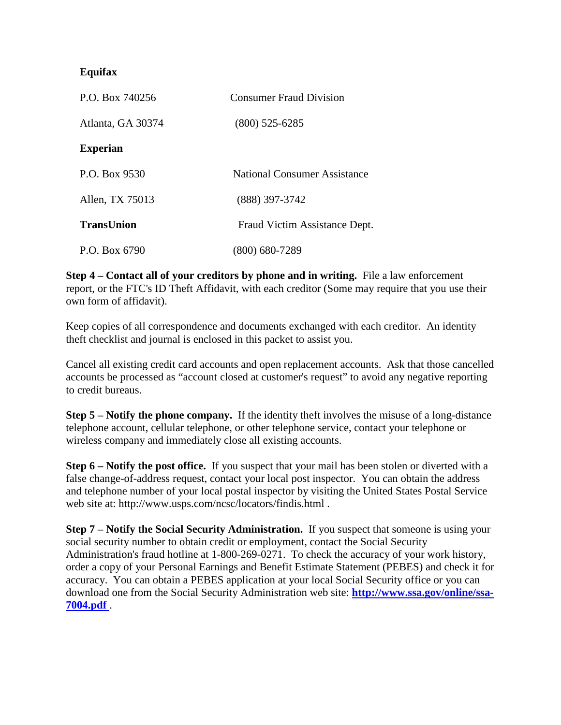## **Equifax**

| P.O. Box 740256   | <b>Consumer Fraud Division</b> |
|-------------------|--------------------------------|
| Atlanta, GA 30374 | $(800)$ 525-6285               |
| <b>Experian</b>   |                                |
| P.O. Box 9530     | National Consumer Assistance   |
| Allen, TX 75013   | $(888)$ 397-3742               |
| <b>TransUnion</b> | Fraud Victim Assistance Dept.  |
| P.O. Box 6790     | (800) 680-7289                 |

**Step 4 – Contact all of your creditors by phone and in writing.** File a law enforcement report, or the FTC's ID Theft Affidavit, with each creditor (Some may require that you use their own form of affidavit).

Keep copies of all correspondence and documents exchanged with each creditor. An identity theft checklist and journal is enclosed in this packet to assist you.

Cancel all existing credit card accounts and open replacement accounts. Ask that those cancelled accounts be processed as "account closed at customer's request" to avoid any negative reporting to credit bureaus.

**Step 5 – Notify the phone company.** If the identity theft involves the misuse of a long-distance telephone account, cellular telephone, or other telephone service, contact your telephone or wireless company and immediately close all existing accounts.

**Step 6 – Notify the post office.** If you suspect that your mail has been stolen or diverted with a false change-of-address request, contact your local post inspector. You can obtain the address and telephone number of your local postal inspector by visiting the United States Postal Service web site at: http://www.usps.com/ncsc/locators/findis.html .

**Step 7 – Notify the Social Security Administration.** If you suspect that someone is using your social security number to obtain credit or employment, contact the Social Security Administration's fraud hotline at 1-800-269-0271. To check the accuracy of your work history, order a copy of your Personal Earnings and Benefit Estimate Statement (PEBES) and check it for accuracy. You can obtain a PEBES application at your local Social Security office or you can download one from the Social Security Administration web site: **[http://www.ssa.gov/online/ssa-](http://www.ssa.gov/online/ssa-7004.pdf)[7004.pdf](http://www.ssa.gov/online/ssa-7004.pdf)** .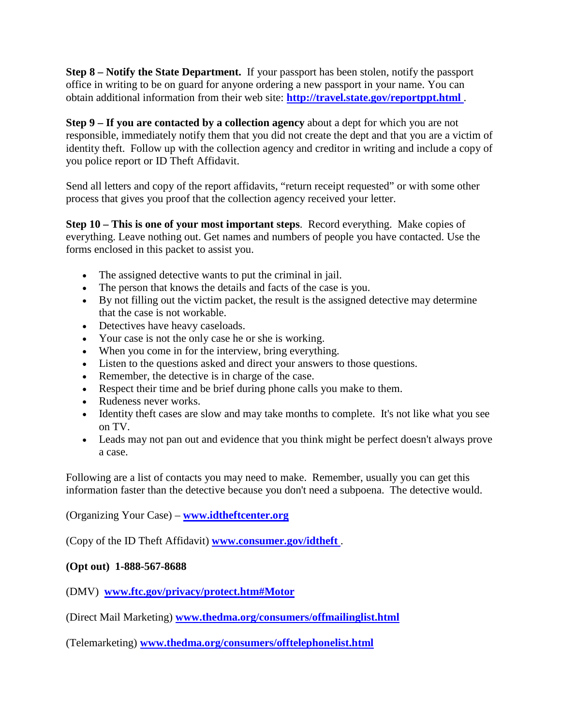**Step 8 – Notify the State Department.** If your passport has been stolen, notify the passport office in writing to be on guard for anyone ordering a new passport in your name. You can obtain additional information from their web site: **<http://travel.state.gov/reportppt.html>**.

**Step 9 – If you are contacted by a collection agency** about a dept for which you are not responsible, immediately notify them that you did not create the dept and that you are a victim of identity theft. Follow up with the collection agency and creditor in writing and include a copy of you police report or ID Theft Affidavit.

Send all letters and copy of the report affidavits, "return receipt requested" or with some other process that gives you proof that the collection agency received your letter.

**Step 10 – This is one of your most important steps**. Record everything. Make copies of everything. Leave nothing out. Get names and numbers of people you have contacted. Use the forms enclosed in this packet to assist you.

- The assigned detective wants to put the criminal in jail.
- The person that knows the details and facts of the case is you.
- By not filling out the victim packet, the result is the assigned detective may determine that the case is not workable.
- Detectives have heavy caseloads.
- Your case is not the only case he or she is working.
- When you come in for the interview, bring everything.
- Listen to the questions asked and direct your answers to those questions.
- Remember, the detective is in charge of the case.
- Respect their time and be brief during phone calls you make to them.
- Rudeness never works.
- Identity theft cases are slow and may take months to complete. It's not like what you see on TV.
- Leads may not pan out and evidence that you think might be perfect doesn't always prove a case.

Following are a list of contacts you may need to make. Remember, usually you can get this information faster than the detective because you don't need a subpoena. The detective would.

(Organizing Your Case) – **[www.idtheftcenter.org](http://www.idtheftcenter.org/)** 

(Copy of the ID Theft Affidavit) **[www.consumer.gov/idtheft](http://www.consumer.gov/idtheft)** .

## **(Opt out) 1-888-567-8688**

(DMV) **[www.ftc.gov/privacy/protect.htm#Motor](http://www.ftc.gov/privacy/protect.htm#Motor)** 

(Direct Mail Marketing) **[www.thedma.org/consumers/offmailinglist.html](http://www.thedma.org/consumers/offmailinglist.html)** 

(Telemarketing) **[www.thedma.org/consumers/offtelephonelist.html](http://www.thedma.org/consumers/offtelephonelist.html)**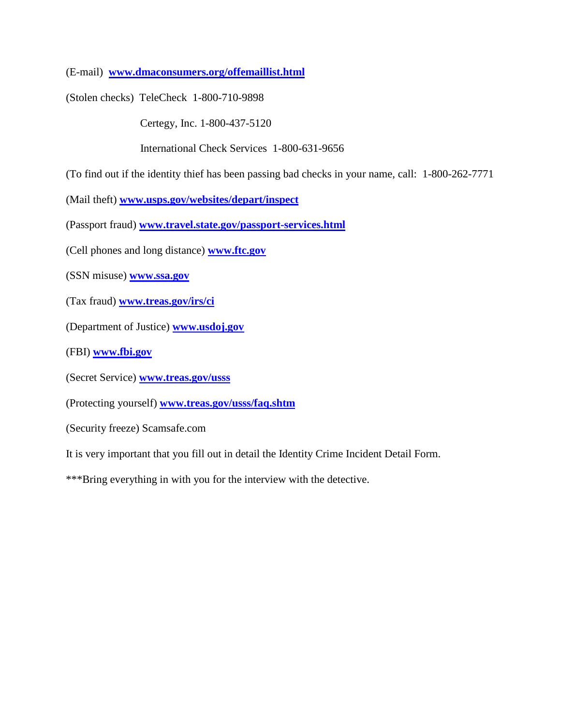(E-mail) **[www.dmaconsumers.org/offemaillist.html](http://www.dmaconsumers.org/offemaillist.html)** 

(Stolen checks) TeleCheck 1-800-710-9898

Certegy, Inc. 1-800-437-5120

International Check Services 1-800-631-9656

(To find out if the identity thief has been passing bad checks in your name, call: 1-800-262-7771

(Mail theft) **[www.usps.gov/websites/depart/inspect](http://www.usps.gov/websites/depart/inspect)** 

(Passport fraud) **[www.travel.state.gov/passport-services.html](http://www.travel.state.gov/passport-services.html)** 

(Cell phones and long distance) **[www.ftc.gov](http://www.ftc.gov/)** 

(SSN misuse) **[www.ssa.gov](http://www.ssa.gov/)** 

(Tax fraud) **[www.treas.gov/irs/ci](http://www.treas.gov/irs/ci)** 

(Department of Justice) **[www.usdoj.gov](http://www.usdoj.gov/)** 

(FBI) **[www.fbi.gov](http://www.fbi.gov/)** 

(Secret Service) **[www.treas.gov/usss](http://www.treas.gov/usss)** 

(Protecting yourself) **[www.treas.gov/usss/faq.shtm](http://www.treas.gov/usss/faq.shtm)** 

(Security freeze) Scamsafe.com

It is very important that you fill out in detail the Identity Crime Incident Detail Form.

\*\*\*Bring everything in with you for the interview with the detective.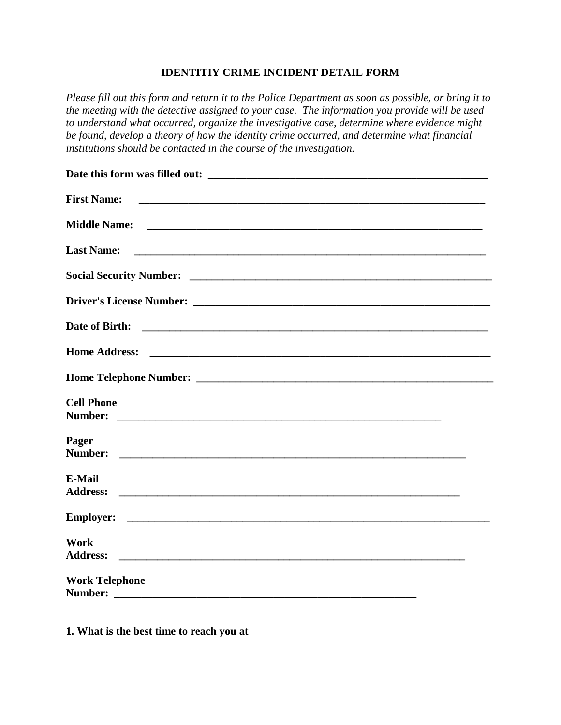## **IDENTITIY CRIME INCIDENT DETAIL FORM**

*Please fill out this form and return it to the Police Department as soon as possible, or bring it to the meeting with the detective assigned to your case. The information you provide will be used to understand what occurred, organize the investigative case, determine where evidence might be found, develop a theory of how the identity crime occurred, and determine what financial institutions should be contacted in the course of the investigation.* 

| <b>First Name:</b>                                                                                                                       |
|------------------------------------------------------------------------------------------------------------------------------------------|
| <b>Middle Name:</b>                                                                                                                      |
| <b>Last Name:</b>                                                                                                                        |
|                                                                                                                                          |
|                                                                                                                                          |
| Date of Birth:<br><u> 1988 - Johann Barnett, fransk politiker (d. 1988)</u>                                                              |
| <b>Home Address:</b>                                                                                                                     |
|                                                                                                                                          |
| <b>Cell Phone</b><br>Number:                                                                                                             |
| Pager<br>Number:<br><u> 1980 - Jan Jan James, margaret amerikan basar dan berasal dalam pengaran basar dalam pengaran basar dalam pe</u> |
| E-Mail<br><b>Address:</b>                                                                                                                |
|                                                                                                                                          |
| Work<br><b>Address:</b><br><u> 1999 - Jan James James, margaret eta idazleari (h. 1908).</u>                                             |
| <b>Work Telephone</b>                                                                                                                    |
| Number:                                                                                                                                  |

**1. What is the best time to reach you at**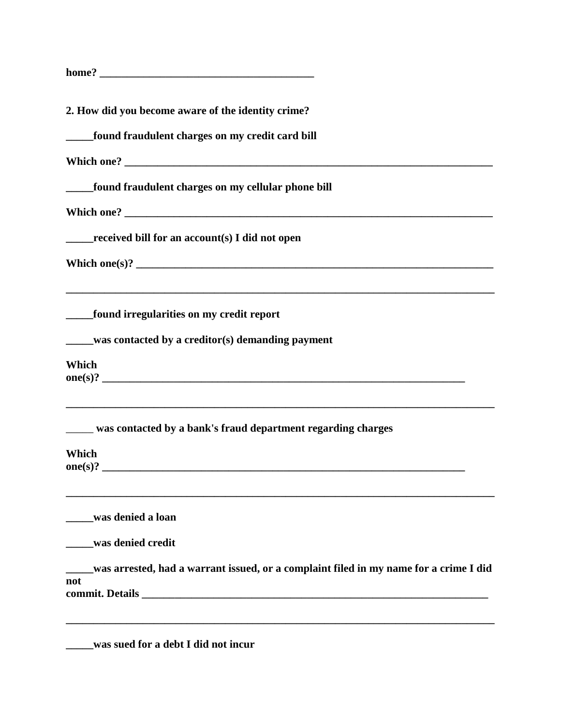| home? |  |
|-------|--|
|       |  |

| 2. How did you become aware of the identity crime?                                                                                                |  |  |
|---------------------------------------------------------------------------------------------------------------------------------------------------|--|--|
| found fraudulent charges on my credit card bill                                                                                                   |  |  |
|                                                                                                                                                   |  |  |
| found fraudulent charges on my cellular phone bill                                                                                                |  |  |
|                                                                                                                                                   |  |  |
| $_{\rm{received}}$ bill for an account(s) I did not open                                                                                          |  |  |
|                                                                                                                                                   |  |  |
| found irregularities on my credit report                                                                                                          |  |  |
| was contacted by a creditor(s) demanding payment                                                                                                  |  |  |
| <b>Which</b>                                                                                                                                      |  |  |
| ,我们也不会有什么。""我们的人,我们也不会有什么?""我们的人,我们也不会有什么?""我们的人,我们的人,我们也不会有什么?""我们的人,我们的人,我们的人,我<br>was contacted by a bank's fraud department regarding charges |  |  |
| <b>Which</b><br>one(s)?                                                                                                                           |  |  |
| ,我们也不能在这里的时候,我们也不能在这里的时候,我们也不能会在这里的时候,我们也不能会在这里的时候,我们也不能会在这里的时候,我们也不能会在这里的时候,我们也<br>was denied a loan                                             |  |  |
| was denied credit                                                                                                                                 |  |  |
| was arrested, had a warrant issued, or a complaint filed in my name for a crime I did<br>not                                                      |  |  |
| was sued for a debt I did not incur                                                                                                               |  |  |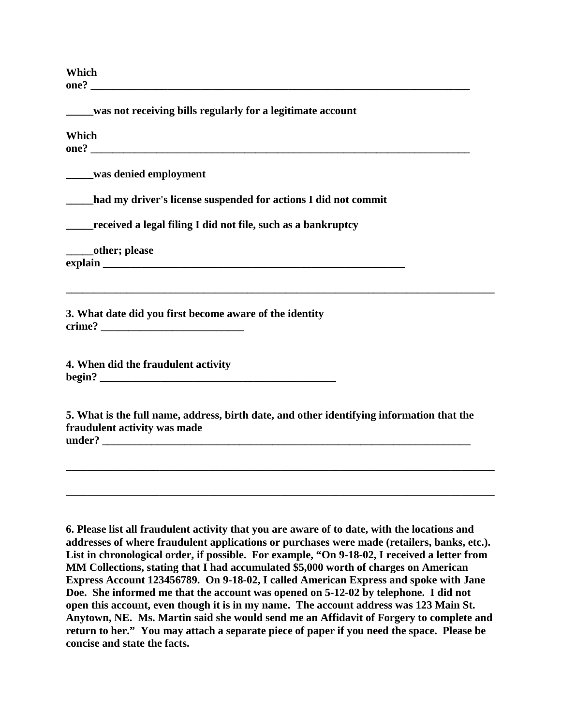**Which one? \_\_\_\_\_\_\_\_\_\_\_\_\_\_\_\_\_\_\_\_\_\_\_\_\_\_\_\_\_\_\_\_\_\_\_\_\_\_\_\_\_\_\_\_\_\_\_\_\_\_\_\_\_\_\_\_\_\_\_\_\_\_\_\_\_\_\_\_\_** 

| was not receiving bills regularly for a legitimate account                                                                                                                                                                                                                                                                                                                                                                                                                 |
|----------------------------------------------------------------------------------------------------------------------------------------------------------------------------------------------------------------------------------------------------------------------------------------------------------------------------------------------------------------------------------------------------------------------------------------------------------------------------|
| Which                                                                                                                                                                                                                                                                                                                                                                                                                                                                      |
| was denied employment                                                                                                                                                                                                                                                                                                                                                                                                                                                      |
| ____had my driver's license suspended for actions I did not commit                                                                                                                                                                                                                                                                                                                                                                                                         |
| received a legal filing I did not file, such as a bankruptcy                                                                                                                                                                                                                                                                                                                                                                                                               |
| _______other; please                                                                                                                                                                                                                                                                                                                                                                                                                                                       |
| ,我们也不会有什么。""我们的人,我们也不会有什么?""我们的人,我们也不会有什么?""我们的人,我们的人,我们也不会有什么?""我们的人,我们的人,我们的人,我<br>3. What date did you first become aware of the identity<br><u>crime? __________________________</u>                                                                                                                                                                                                                                                                                   |
| 4. When did the fraudulent activity                                                                                                                                                                                                                                                                                                                                                                                                                                        |
| 5. What is the full name, address, birth date, and other identifying information that the<br>fraudulent activity was made                                                                                                                                                                                                                                                                                                                                                  |
|                                                                                                                                                                                                                                                                                                                                                                                                                                                                            |
| 6. Please list all fraudulent activity that you are aware of to date, with the locations and<br>addresses of where fraudulent applications or purchases were made (retailers, banks, etc.).<br>List in chronological order, if possible. For example, "On 9-18-02, I received a letter from<br>MM Collections, stating that I had accumulated \$5,000 worth of charges on American<br>Express Account 123456789. On 9-18-02, I called American Express and spoke with Jane |

**Doe. She informed me that the account was opened on 5-12-02 by telephone. I did not open this account, even though it is in my name. The account address was 123 Main St. Anytown, NE. Ms. Martin said she would send me an Affidavit of Forgery to complete and return to her." You may attach a separate piece of paper if you need the space. Please be concise and state the facts.**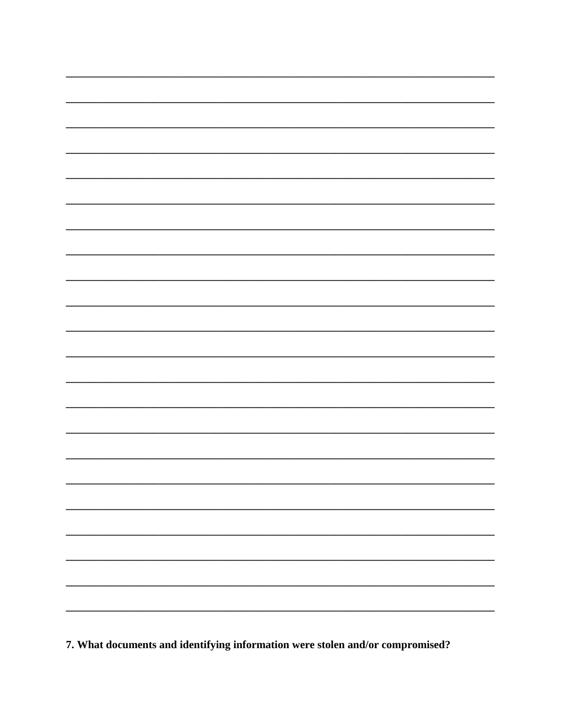

7. What documents and identifying information were stolen and/or compromised?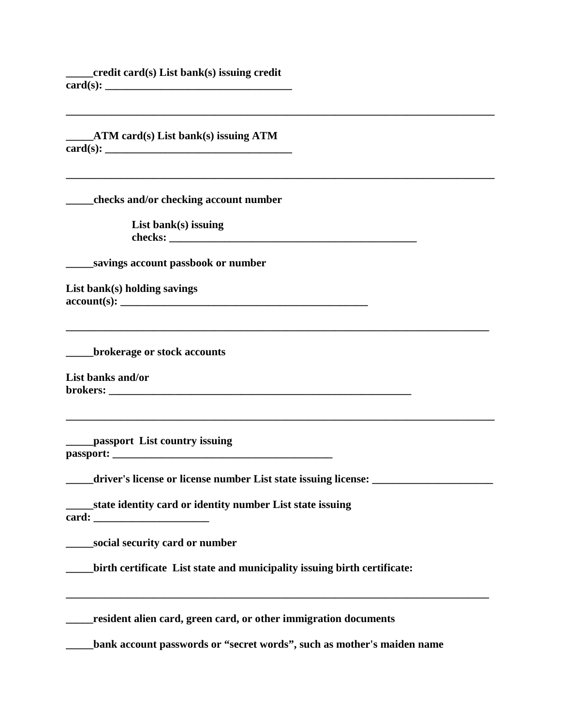**\_\_\_\_\_credit card(s) List bank(s) issuing credit card(s): \_\_\_\_\_\_\_\_\_\_\_\_\_\_\_\_\_\_\_\_\_\_\_\_\_\_\_\_\_\_\_\_\_\_** 

**\_\_\_\_\_ATM card(s) List bank(s) issuing ATM card(s): \_\_\_\_\_\_\_\_\_\_\_\_\_\_\_\_\_\_\_\_\_\_\_\_\_\_\_\_\_\_\_\_\_\_** 

**\_\_\_\_\_\_\_\_\_\_\_\_\_\_\_\_\_\_\_\_\_\_\_\_\_\_\_\_\_\_\_\_\_\_\_\_\_\_\_\_\_\_\_\_\_\_\_\_\_\_\_\_\_\_\_\_\_\_\_\_\_\_\_\_\_\_\_\_\_\_\_\_\_\_\_\_\_\_ \_\_\_\_\_checks and/or checking account number List bank(s) issuing checks: \_\_\_\_\_\_\_\_\_\_\_\_\_\_\_\_\_\_\_\_\_\_\_\_\_\_\_\_\_\_\_\_\_\_\_\_\_\_\_\_\_\_\_\_\_ \_\_\_\_\_savings account passbook or number List bank(s) holding savings account(s): \_\_\_\_\_\_\_\_\_\_\_\_\_\_\_\_\_\_\_\_\_\_\_\_\_\_\_\_\_\_\_\_\_\_\_\_\_\_\_\_\_\_\_\_\_ \_\_\_\_\_\_\_\_\_\_\_\_\_\_\_\_\_\_\_\_\_\_\_\_\_\_\_\_\_\_\_\_\_\_\_\_\_\_\_\_\_\_\_\_\_\_\_\_\_\_\_\_\_\_\_\_\_\_\_\_\_\_\_\_\_\_\_\_\_\_\_\_\_\_\_\_\_ \_\_\_\_\_brokerage or stock accounts List banks and/or brokers: \_\_\_\_\_\_\_\_\_\_\_\_\_\_\_\_\_\_\_\_\_\_\_\_\_\_\_\_\_\_\_\_\_\_\_\_\_\_\_\_\_\_\_\_\_\_\_\_\_\_\_\_\_\_\_** 

**\_\_\_\_\_\_\_\_\_\_\_\_\_\_\_\_\_\_\_\_\_\_\_\_\_\_\_\_\_\_\_\_\_\_\_\_\_\_\_\_\_\_\_\_\_\_\_\_\_\_\_\_\_\_\_\_\_\_\_\_\_\_\_\_\_\_\_\_\_\_\_\_\_\_\_\_\_\_**

**\_\_\_\_\_\_\_\_\_\_\_\_\_\_\_\_\_\_\_\_\_\_\_\_\_\_\_\_\_\_\_\_\_\_\_\_\_\_\_\_\_\_\_\_\_\_\_\_\_\_\_\_\_\_\_\_\_\_\_\_\_\_\_\_\_\_\_\_\_\_\_\_\_\_\_\_\_\_**

**\_\_\_\_\_passport List country issuing passport: \_\_\_\_\_\_\_\_\_\_\_\_\_\_\_\_\_\_\_\_\_\_\_\_\_\_\_\_\_\_\_\_\_\_\_\_\_\_\_\_** 

**\_\_\_\_\_driver's license or license number List state issuing license: \_\_\_\_\_\_\_\_\_\_\_\_\_\_\_\_\_\_\_\_\_\_** 

**\_\_\_\_\_state identity card or identity number List state issuing card: \_\_\_\_\_\_\_\_\_\_\_\_\_\_\_\_\_\_\_\_\_**

**\_\_\_\_\_social security card or number** 

**\_\_\_\_\_birth certificate List state and municipality issuing birth certificate:**

**\_\_\_\_\_resident alien card, green card, or other immigration documents** 

**\_\_\_\_\_bank account passwords or "secret words", such as mother's maiden name** 

**\_\_\_\_\_\_\_\_\_\_\_\_\_\_\_\_\_\_\_\_\_\_\_\_\_\_\_\_\_\_\_\_\_\_\_\_\_\_\_\_\_\_\_\_\_\_\_\_\_\_\_\_\_\_\_\_\_\_\_\_\_\_\_\_\_\_\_\_\_\_\_\_\_\_\_\_\_**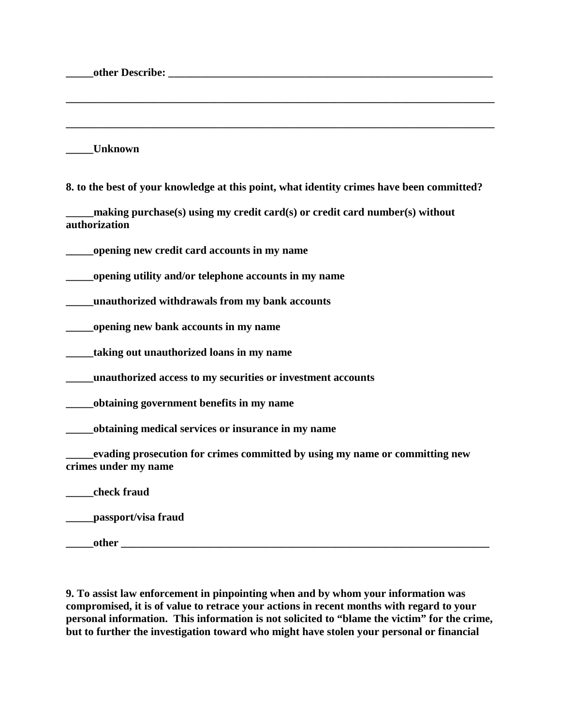| <b>Unknown</b>                                                                                             |
|------------------------------------------------------------------------------------------------------------|
| 8. to the best of your knowledge at this point, what identity crimes have been committed?                  |
| $\_$ making purchase $(s)$ using my credit card $(s)$ or credit card number $(s)$ without<br>authorization |
| opening new credit card accounts in my name                                                                |
| opening utility and/or telephone accounts in my name                                                       |
| unauthorized withdrawals from my bank accounts                                                             |
| opening new bank accounts in my name                                                                       |
| taking out unauthorized loans in my name                                                                   |
| unauthorized access to my securities or investment accounts                                                |
| obtaining government benefits in my name                                                                   |
| obtaining medical services or insurance in my name                                                         |
| evading prosecution for crimes committed by using my name or committing new<br>crimes under my name        |
| check fraud                                                                                                |
| passport/visa fraud                                                                                        |
| other                                                                                                      |

**9. To assist law enforcement in pinpointing when and by whom your information was compromised, it is of value to retrace your actions in recent months with regard to your personal information. This information is not solicited to "blame the victim" for the crime, but to further the investigation toward who might have stolen your personal or financial**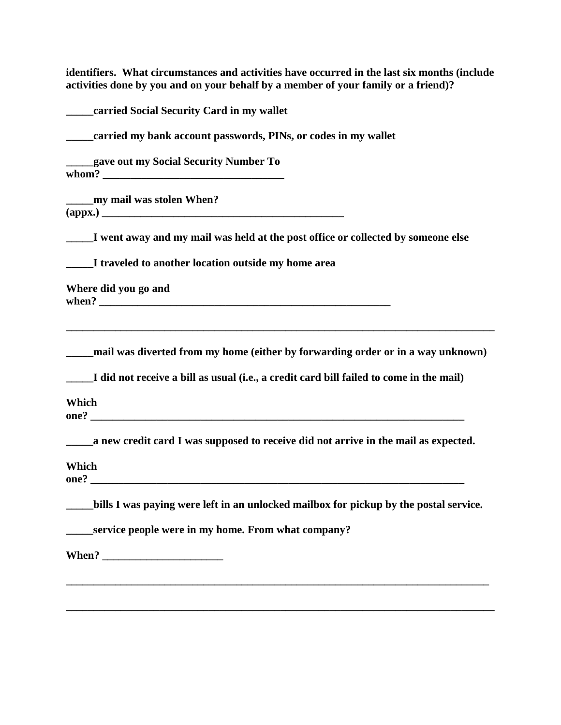**identifiers. What circumstances and activities have occurred in the last six months (include activities done by you and on your behalf by a member of your family or a friend)?** 

| carried Social Security Card in my wallet                                                   |
|---------------------------------------------------------------------------------------------|
| carried my bank account passwords, PINs, or codes in my wallet                              |
| gave out my Social Security Number To<br>whom?                                              |
|                                                                                             |
| I went away and my mail was held at the post office or collected by someone else            |
| _____I traveled to another location outside my home area                                    |
| Where did you go and                                                                        |
| ____mail was diverted from my home (either by forwarding order or in a way unknown)         |
| I did not receive a bill as usual (i.e., a credit card bill failed to come in the mail)     |
| Which                                                                                       |
| _______ a new credit card I was supposed to receive did not arrive in the mail as expected. |
| Which                                                                                       |
| ____bills I was paying were left in an unlocked mailbox for pickup by the postal service.   |
| service people were in my home. From what company?                                          |
|                                                                                             |
|                                                                                             |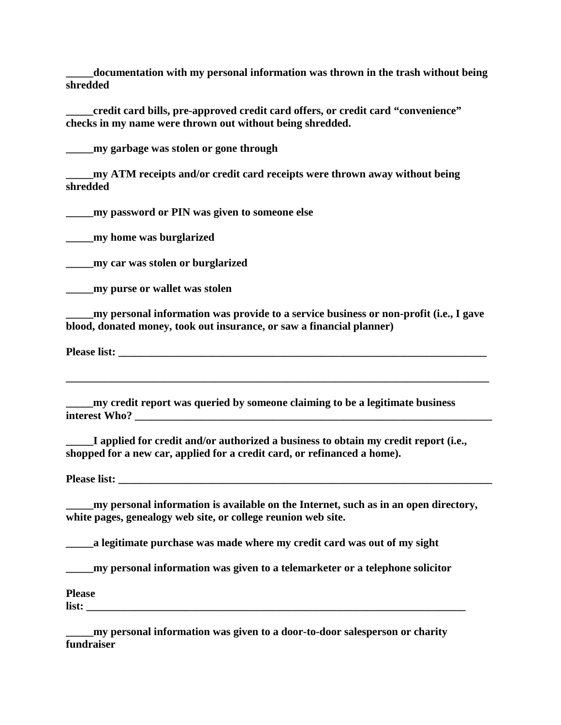**\_\_\_\_\_documentation with my personal information was thrown in the trash without being shredded** 

**\_\_\_\_\_credit card bills, pre-approved credit card offers, or credit card "convenience" checks in my name were thrown out without being shredded.** 

**\_\_\_\_\_my garbage was stolen or gone through** 

**\_\_\_\_\_my ATM receipts and/or credit card receipts were thrown away without being shredded** 

**\_\_\_\_\_my password or PIN was given to someone else** 

**\_\_\_\_\_my home was burglarized** 

**\_\_\_\_\_my car was stolen or burglarized** 

**\_\_\_\_\_my purse or wallet was stolen** 

**\_\_\_\_\_my personal information was provide to a service business or non-profit (i.e., I gave blood, donated money, took out insurance, or saw a financial planner)** 

**Please list:**  $\blacksquare$ 

**\_\_\_\_\_\_\_\_\_\_\_\_\_\_\_\_\_\_\_\_\_\_\_\_\_\_\_\_\_\_\_\_\_\_\_\_\_\_\_\_\_\_\_\_\_\_\_\_\_\_\_\_\_\_\_\_\_\_\_\_\_\_\_\_\_\_\_\_\_\_\_\_\_\_\_\_\_** 

**\_\_\_\_\_my credit report was queried by someone claiming to be a legitimate business interest Who? \_\_\_\_\_\_\_\_\_\_\_\_\_\_\_\_\_\_\_\_\_\_\_\_\_\_\_\_\_\_\_\_\_\_\_\_\_\_\_\_\_\_\_\_\_\_\_\_\_\_\_\_\_\_\_\_\_\_\_\_\_\_\_\_\_** 

**\_\_\_\_\_I applied for credit and/or authorized a business to obtain my credit report (i.e., shopped for a new car, applied for a credit card, or refinanced a home).** 

**Please list: \_\_\_\_\_\_\_\_\_\_\_\_\_\_\_\_\_\_\_\_\_\_\_\_\_\_\_\_\_\_\_\_\_\_\_\_\_\_\_\_\_\_\_\_\_\_\_\_\_\_\_\_\_\_\_\_\_\_\_\_\_\_\_\_\_\_\_\_** 

**\_\_\_\_\_my personal information is available on the Internet, such as in an open directory, white pages, genealogy web site, or college reunion web site.** 

**\_\_\_\_\_a legitimate purchase was made where my credit card was out of my sight** 

**\_\_\_\_\_my personal information was given to a telemarketer or a telephone solicitor** 

**Please** 

**list: \_\_\_\_\_\_\_\_\_\_\_\_\_\_\_\_\_\_\_\_\_\_\_\_\_\_\_\_\_\_\_\_\_\_\_\_\_\_\_\_\_\_\_\_\_\_\_\_\_\_\_\_\_\_\_\_\_\_\_\_\_\_\_\_\_\_\_\_\_** 

**\_\_\_\_\_my personal information was given to a door-to-door salesperson or charity fundraiser**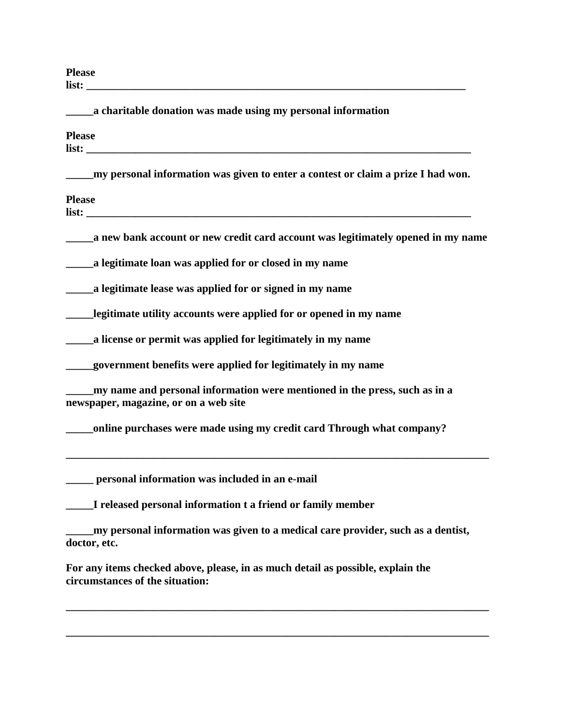**Please list: \_\_\_\_\_\_\_\_\_\_\_\_\_\_\_\_\_\_\_\_\_\_\_\_\_\_\_\_\_\_\_\_\_\_\_\_\_\_\_\_\_\_\_\_\_\_\_\_\_\_\_\_\_\_\_\_\_\_\_\_\_\_\_\_\_\_\_\_\_** 

| a charitable donation was made using my personal information                                                                                                                                                                                                                                                                  |
|-------------------------------------------------------------------------------------------------------------------------------------------------------------------------------------------------------------------------------------------------------------------------------------------------------------------------------|
| <b>Please</b><br><b>list:</b> <u>and</u> <b>list</b> : <b>and list</b> : <b>and list</b> : <b>and list</b> : <b>and list</b> : <b>and list</b> : <b>and list</b> : <b>and list</b> : <b>and list</b> : <b>and list</b> : <b>and list</b> : <b>and list</b> : <b>and list</b> : <b>and list</b> : <b>and list</b> : <b>and</b> |
| my personal information was given to enter a contest or claim a prize I had won.                                                                                                                                                                                                                                              |
| <b>Please</b><br><b>list:</b>                                                                                                                                                                                                                                                                                                 |
| a new bank account or new credit card account was legitimately opened in my name                                                                                                                                                                                                                                              |
| a legitimate loan was applied for or closed in my name                                                                                                                                                                                                                                                                        |
| a legitimate lease was applied for or signed in my name                                                                                                                                                                                                                                                                       |
| legitimate utility accounts were applied for or opened in my name                                                                                                                                                                                                                                                             |
| a license or permit was applied for legitimately in my name                                                                                                                                                                                                                                                                   |
| government benefits were applied for legitimately in my name                                                                                                                                                                                                                                                                  |
| my name and personal information were mentioned in the press, such as in a<br>newspaper, magazine, or on a web site                                                                                                                                                                                                           |
| online purchases were made using my credit card Through what company?                                                                                                                                                                                                                                                         |
| personal information was included in an e-mail                                                                                                                                                                                                                                                                                |
| I released personal information t a friend or family member                                                                                                                                                                                                                                                                   |
| my personal information was given to a medical care provider, such as a dentist,<br>doctor, etc.                                                                                                                                                                                                                              |
| For any items checked above, please, in as much detail as possible, explain the<br>circumstances of the situation:                                                                                                                                                                                                            |
|                                                                                                                                                                                                                                                                                                                               |

**\_\_\_\_\_\_\_\_\_\_\_\_\_\_\_\_\_\_\_\_\_\_\_\_\_\_\_\_\_\_\_\_\_\_\_\_\_\_\_\_\_\_\_\_\_\_\_\_\_\_\_\_\_\_\_\_\_\_\_\_\_\_\_\_\_\_\_\_\_\_\_\_\_\_\_\_\_**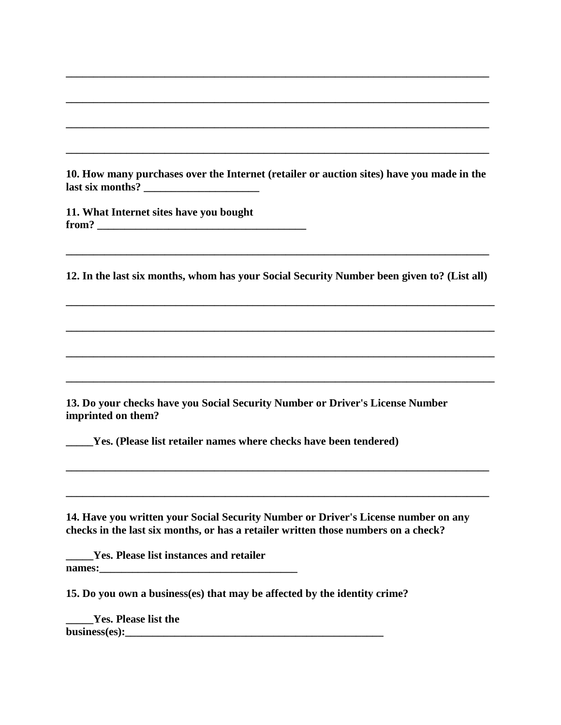**10. How many purchases over the Internet (retailer or auction sites) have you made in the last six months? \_\_\_\_\_\_\_\_\_\_\_\_\_\_\_\_\_\_\_\_\_** 

**\_\_\_\_\_\_\_\_\_\_\_\_\_\_\_\_\_\_\_\_\_\_\_\_\_\_\_\_\_\_\_\_\_\_\_\_\_\_\_\_\_\_\_\_\_\_\_\_\_\_\_\_\_\_\_\_\_\_\_\_\_\_\_\_\_\_\_\_\_\_\_\_\_\_\_\_\_** 

**\_\_\_\_\_\_\_\_\_\_\_\_\_\_\_\_\_\_\_\_\_\_\_\_\_\_\_\_\_\_\_\_\_\_\_\_\_\_\_\_\_\_\_\_\_\_\_\_\_\_\_\_\_\_\_\_\_\_\_\_\_\_\_\_\_\_\_\_\_\_\_\_\_\_\_\_\_** 

**\_\_\_\_\_\_\_\_\_\_\_\_\_\_\_\_\_\_\_\_\_\_\_\_\_\_\_\_\_\_\_\_\_\_\_\_\_\_\_\_\_\_\_\_\_\_\_\_\_\_\_\_\_\_\_\_\_\_\_\_\_\_\_\_\_\_\_\_\_\_\_\_\_\_\_\_\_** 

**\_\_\_\_\_\_\_\_\_\_\_\_\_\_\_\_\_\_\_\_\_\_\_\_\_\_\_\_\_\_\_\_\_\_\_\_\_\_\_\_\_\_\_\_\_\_\_\_\_\_\_\_\_\_\_\_\_\_\_\_\_\_\_\_\_\_\_\_\_\_\_\_\_\_\_\_\_** 

**11. What Internet sites have you bought from? \_\_\_\_\_\_\_\_\_\_\_\_\_\_\_\_\_\_\_\_\_\_\_\_\_\_\_\_\_\_\_\_\_\_\_\_\_\_** 

**12. In the last six months, whom has your Social Security Number been given to? (List all)** 

**\_\_\_\_\_\_\_\_\_\_\_\_\_\_\_\_\_\_\_\_\_\_\_\_\_\_\_\_\_\_\_\_\_\_\_\_\_\_\_\_\_\_\_\_\_\_\_\_\_\_\_\_\_\_\_\_\_\_\_\_\_\_\_\_\_\_\_\_\_\_\_\_\_\_\_\_\_\_**

**\_\_\_\_\_\_\_\_\_\_\_\_\_\_\_\_\_\_\_\_\_\_\_\_\_\_\_\_\_\_\_\_\_\_\_\_\_\_\_\_\_\_\_\_\_\_\_\_\_\_\_\_\_\_\_\_\_\_\_\_\_\_\_\_\_\_\_\_\_\_\_\_\_\_\_\_\_\_**

**\_\_\_\_\_\_\_\_\_\_\_\_\_\_\_\_\_\_\_\_\_\_\_\_\_\_\_\_\_\_\_\_\_\_\_\_\_\_\_\_\_\_\_\_\_\_\_\_\_\_\_\_\_\_\_\_\_\_\_\_\_\_\_\_\_\_\_\_\_\_\_\_\_\_\_\_\_\_**

**\_\_\_\_\_\_\_\_\_\_\_\_\_\_\_\_\_\_\_\_\_\_\_\_\_\_\_\_\_\_\_\_\_\_\_\_\_\_\_\_\_\_\_\_\_\_\_\_\_\_\_\_\_\_\_\_\_\_\_\_\_\_\_\_\_\_\_\_\_\_\_\_\_\_\_\_\_\_**

**\_\_\_\_\_\_\_\_\_\_\_\_\_\_\_\_\_\_\_\_\_\_\_\_\_\_\_\_\_\_\_\_\_\_\_\_\_\_\_\_\_\_\_\_\_\_\_\_\_\_\_\_\_\_\_\_\_\_\_\_\_\_\_\_\_\_\_\_\_\_\_\_\_\_\_\_\_**

**\_\_\_\_\_\_\_\_\_\_\_\_\_\_\_\_\_\_\_\_\_\_\_\_\_\_\_\_\_\_\_\_\_\_\_\_\_\_\_\_\_\_\_\_\_\_\_\_\_\_\_\_\_\_\_\_\_\_\_\_\_\_\_\_\_\_\_\_\_\_\_\_\_\_\_\_\_**

**\_\_\_\_\_\_\_\_\_\_\_\_\_\_\_\_\_\_\_\_\_\_\_\_\_\_\_\_\_\_\_\_\_\_\_\_\_\_\_\_\_\_\_\_\_\_\_\_\_\_\_\_\_\_\_\_\_\_\_\_\_\_\_\_\_\_\_\_\_\_\_\_\_\_\_\_\_** 

**13. Do your checks have you Social Security Number or Driver's License Number imprinted on them?** 

**\_\_\_\_\_Yes. (Please list retailer names where checks have been tendered)** 

**14. Have you written your Social Security Number or Driver's License number on any checks in the last six months, or has a retailer written those numbers on a check?** 

**\_\_\_\_\_Yes. Please list instances and retailer names:** 

**15. Do you own a business(es) that may be affected by the identity crime?** 

**\_\_\_\_\_Yes. Please list the business(es):\_\_\_\_\_\_\_\_\_\_\_\_\_\_\_\_\_\_\_\_\_\_\_\_\_\_\_\_\_\_\_\_\_\_\_\_\_\_\_\_\_\_\_\_\_\_\_**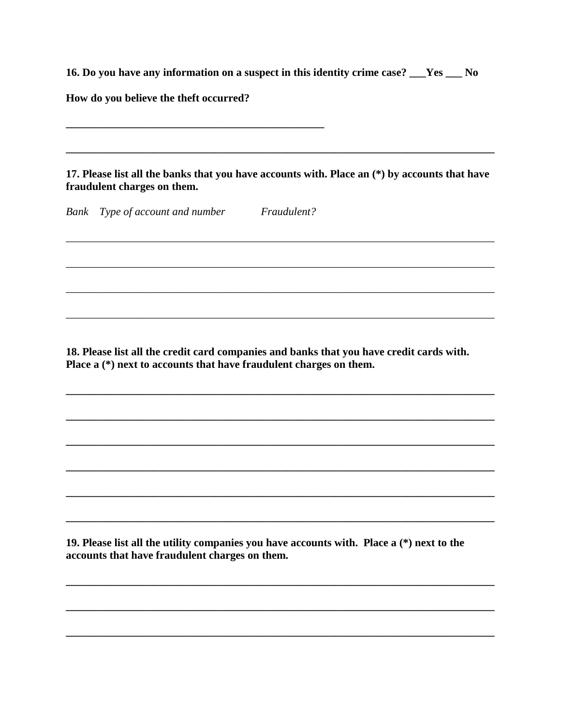16. Do you have any information on a suspect in this identity crime case? \_\_Yes \_\_ No

How do you believe the theft occurred?

17. Please list all the banks that you have accounts with. Place an (\*) by accounts that have fraudulent charges on them.

Fraudulent? Bank Type of account and number

18. Please list all the credit card companies and banks that you have credit cards with. Place  $a(*)$  next to accounts that have fraudulent charges on them.

19. Please list all the utility companies you have accounts with. Place a (\*) next to the accounts that have fraudulent charges on them.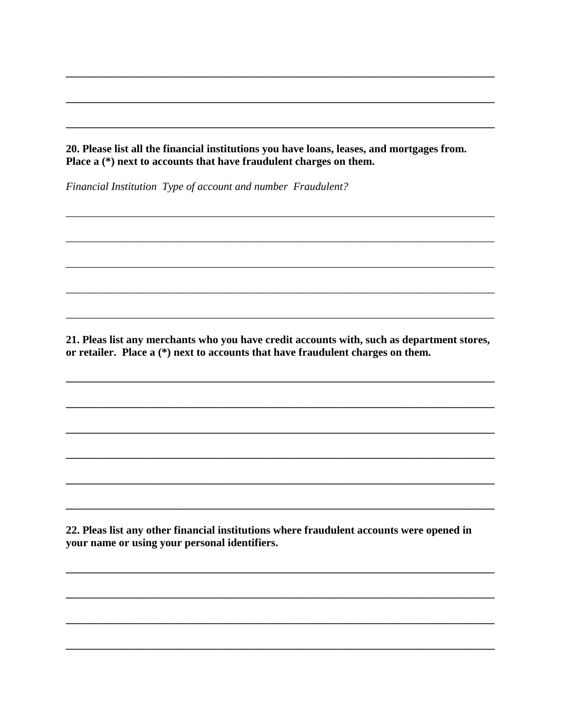20. Please list all the financial institutions you have loans, leases, and mortgages from. Place a (\*) next to accounts that have fraudulent charges on them.

Financial Institution Type of account and number Fraudulent?

21. Pleas list any merchants who you have credit accounts with, such as department stores, or retailer. Place a (\*) next to accounts that have fraudulent charges on them.

22. Pleas list any other financial institutions where fraudulent accounts were opened in your name or using your personal identifiers.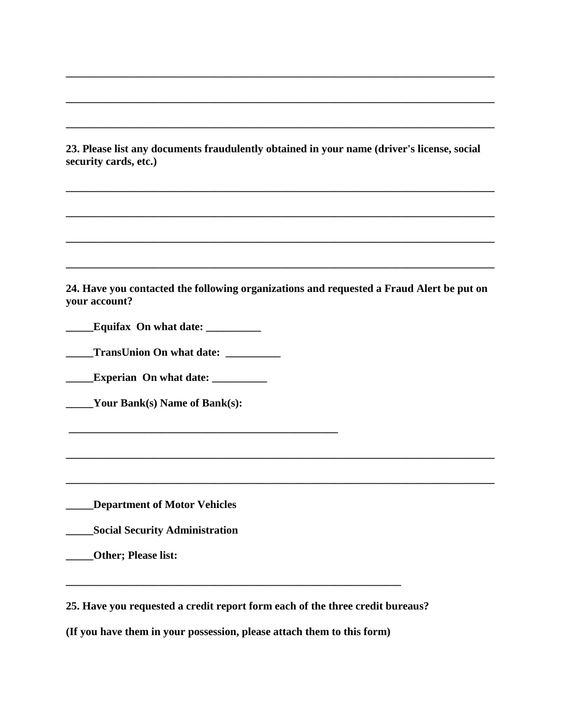**23. Please list any documents fraudulently obtained in your name (driver's license, social security cards, etc.)** 

**\_\_\_\_\_\_\_\_\_\_\_\_\_\_\_\_\_\_\_\_\_\_\_\_\_\_\_\_\_\_\_\_\_\_\_\_\_\_\_\_\_\_\_\_\_\_\_\_\_\_\_\_\_\_\_\_\_\_\_\_\_\_\_\_\_\_\_\_\_\_\_\_\_\_\_\_\_\_**

**\_\_\_\_\_\_\_\_\_\_\_\_\_\_\_\_\_\_\_\_\_\_\_\_\_\_\_\_\_\_\_\_\_\_\_\_\_\_\_\_\_\_\_\_\_\_\_\_\_\_\_\_\_\_\_\_\_\_\_\_\_\_\_\_\_\_\_\_\_\_\_\_\_\_\_\_\_\_**

**\_\_\_\_\_\_\_\_\_\_\_\_\_\_\_\_\_\_\_\_\_\_\_\_\_\_\_\_\_\_\_\_\_\_\_\_\_\_\_\_\_\_\_\_\_\_\_\_\_\_\_\_\_\_\_\_\_\_\_\_\_\_\_\_\_\_\_\_\_\_\_\_\_\_\_\_\_\_**

**\_\_\_\_\_\_\_\_\_\_\_\_\_\_\_\_\_\_\_\_\_\_\_\_\_\_\_\_\_\_\_\_\_\_\_\_\_\_\_\_\_\_\_\_\_\_\_\_\_\_\_\_\_\_\_\_\_\_\_\_\_\_\_\_\_\_\_\_\_\_\_\_\_\_\_\_\_\_**

**\_\_\_\_\_\_\_\_\_\_\_\_\_\_\_\_\_\_\_\_\_\_\_\_\_\_\_\_\_\_\_\_\_\_\_\_\_\_\_\_\_\_\_\_\_\_\_\_\_\_\_\_\_\_\_\_\_\_\_\_\_\_\_\_\_\_\_\_\_\_\_\_\_\_\_\_\_\_**

**\_\_\_\_\_\_\_\_\_\_\_\_\_\_\_\_\_\_\_\_\_\_\_\_\_\_\_\_\_\_\_\_\_\_\_\_\_\_\_\_\_\_\_\_\_\_\_\_\_\_\_\_\_\_\_\_\_\_\_\_\_\_\_\_\_\_\_\_\_\_\_\_\_\_\_\_\_\_**

**\_\_\_\_\_\_\_\_\_\_\_\_\_\_\_\_\_\_\_\_\_\_\_\_\_\_\_\_\_\_\_\_\_\_\_\_\_\_\_\_\_\_\_\_\_\_\_\_\_\_\_\_\_\_\_\_\_\_\_\_\_\_\_\_\_\_\_\_\_\_\_\_\_\_\_\_\_\_**

**24. Have you contacted the following organizations and requested a Fraud Alert be put on your account?** 

**\_\_\_\_\_\_\_\_\_\_\_\_\_\_\_\_\_\_\_\_\_\_\_\_\_\_\_\_\_\_\_\_\_\_\_\_\_\_\_\_\_\_\_\_\_\_\_\_\_\_\_\_\_\_\_\_\_\_\_\_\_\_\_\_\_\_\_\_\_\_\_\_\_\_\_\_\_\_**

**\_\_\_\_\_\_\_\_\_\_\_\_\_\_\_\_\_\_\_\_\_\_\_\_\_\_\_\_\_\_\_\_\_\_\_\_\_\_\_\_\_\_\_\_\_\_\_\_\_\_\_\_\_\_\_\_\_\_\_\_\_\_\_\_\_\_\_\_\_\_\_\_\_\_\_\_\_\_**

**\_\_\_\_\_Equifax On what date: \_\_\_\_\_\_\_\_\_\_** 

**\_\_\_\_\_TransUnion On what date: \_\_\_\_\_\_\_\_\_\_** 

**\_\_\_\_\_\_\_\_\_\_\_\_\_\_\_\_\_\_\_\_\_\_\_\_\_\_\_\_\_\_\_\_\_\_\_\_\_\_\_\_\_\_\_\_\_\_\_\_\_** 

**\_\_\_\_\_Experian On what date: \_\_\_\_\_\_\_\_\_\_** 

**\_\_\_\_\_Your Bank(s) Name of Bank(s):**

**\_\_\_\_\_Department of Motor Vehicles** 

**\_\_\_\_\_Social Security Administration** 

**\_\_\_\_\_Other; Please list:** 

**25. Have you requested a credit report form each of the three credit bureaus?** 

**(If you have them in your possession, please attach them to this form)** 

**\_\_\_\_\_\_\_\_\_\_\_\_\_\_\_\_\_\_\_\_\_\_\_\_\_\_\_\_\_\_\_\_\_\_\_\_\_\_\_\_\_\_\_\_\_\_\_\_\_\_\_\_\_\_\_\_\_\_\_\_\_**